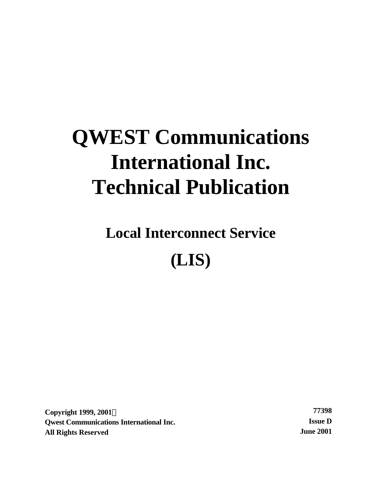# **QWEST Communications International Inc. Technical Publication**

**Local Interconnect Service (LIS)**

**Copyright 1999, 2001Ó 77398 Qwest Communications International Inc. Issue D All Rights Reserved June 2001**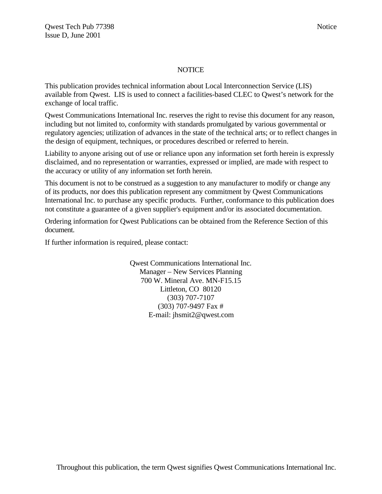#### NOTICE

This publication provides technical information about Local Interconnection Service (LIS) available from Qwest. LIS is used to connect a facilities-based CLEC to Qwest's network for the exchange of local traffic.

Qwest Communications International Inc. reserves the right to revise this document for any reason, including but not limited to, conformity with standards promulgated by various governmental or regulatory agencies; utilization of advances in the state of the technical arts; or to reflect changes in the design of equipment, techniques, or procedures described or referred to herein.

Liability to anyone arising out of use or reliance upon any information set forth herein is expressly disclaimed, and no representation or warranties, expressed or implied, are made with respect to the accuracy or utility of any information set forth herein.

This document is not to be construed as a suggestion to any manufacturer to modify or change any of its products, nor does this publication represent any commitment by Qwest Communications International Inc. to purchase any specific products. Further, conformance to this publication does not constitute a guarantee of a given supplier's equipment and/or its associated documentation.

Ordering information for Qwest Publications can be obtained from the Reference Section of this document.

If further information is required, please contact:

Qwest Communications International Inc. Manager – New Services Planning 700 W. Mineral Ave. MN-F15.15 Littleton, CO 80120 (303) 707-7107 (303) 707-9497 Fax # E-mail: jhsmit2@qwest.com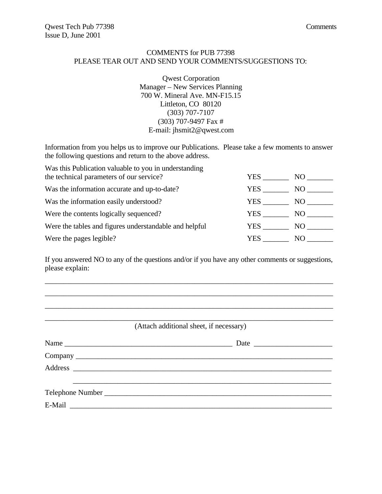# COMMENTS for PUB 77398 PLEASE TEAR OUT AND SEND YOUR COMMENTS/SUGGESTIONS TO:

Qwest Corporation Manager – New Services Planning 700 W. Mineral Ave. MN-F15.15 Littleton, CO 80120 (303) 707-7107 (303) 707-9497 Fax # E-mail: jhsmit2@qwest.com

Information from you helps us to improve our Publications. Please take a few moments to answer the following questions and return to the above address.

| Was this Publication valuable to you in understanding  |      |       |
|--------------------------------------------------------|------|-------|
| the technical parameters of our service?               | YES. | NO.   |
| Was the information accurate and up-to-date?           | YES. | NO.   |
| Was the information easily understood?                 | YES  | NO –  |
| Were the contents logically sequenced?                 | YES  | NO 11 |
| Were the tables and figures understandable and helpful | YES. | NO.   |
| Were the pages legible?                                | YES. | NO.   |

If you answered NO to any of the questions and/or if you have any other comments or suggestions, please explain:

\_\_\_\_\_\_\_\_\_\_\_\_\_\_\_\_\_\_\_\_\_\_\_\_\_\_\_\_\_\_\_\_\_\_\_\_\_\_\_\_\_\_\_\_\_\_\_\_\_\_\_\_\_\_\_\_\_\_\_\_\_\_\_\_\_\_\_\_\_\_\_\_\_\_\_\_\_ \_\_\_\_\_\_\_\_\_\_\_\_\_\_\_\_\_\_\_\_\_\_\_\_\_\_\_\_\_\_\_\_\_\_\_\_\_\_\_\_\_\_\_\_\_\_\_\_\_\_\_\_\_\_\_\_\_\_\_\_\_\_\_\_\_\_\_\_\_\_\_\_\_\_\_\_\_ \_\_\_\_\_\_\_\_\_\_\_\_\_\_\_\_\_\_\_\_\_\_\_\_\_\_\_\_\_\_\_\_\_\_\_\_\_\_\_\_\_\_\_\_\_\_\_\_\_\_\_\_\_\_\_\_\_\_\_\_\_\_\_\_\_\_\_\_\_\_\_\_\_\_\_\_\_

| (Attach additional sheet, if necessary) |  |  |
|-----------------------------------------|--|--|
|                                         |  |  |
|                                         |  |  |
|                                         |  |  |
|                                         |  |  |
|                                         |  |  |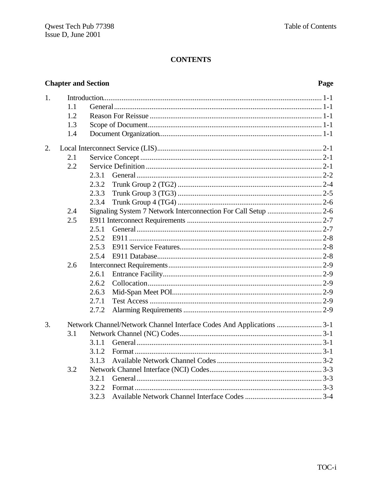# **Chapter and Section**

# Page

| 1. |     |       |                                                                      |
|----|-----|-------|----------------------------------------------------------------------|
|    | 1.1 |       |                                                                      |
|    | 1.2 |       |                                                                      |
|    | 1.3 |       |                                                                      |
|    | 1.4 |       |                                                                      |
| 2. |     |       |                                                                      |
|    | 2.1 |       |                                                                      |
|    | 2.2 |       |                                                                      |
|    |     | 2.3.1 |                                                                      |
|    |     | 2.3.2 |                                                                      |
|    |     | 2.3.3 |                                                                      |
|    |     | 2.3.4 |                                                                      |
|    | 2.4 |       | Signaling System 7 Network Interconnection For Call Setup  2-6       |
|    | 2.5 |       |                                                                      |
|    |     | 2.5.1 |                                                                      |
|    |     | 2.5.2 |                                                                      |
|    |     | 2.5.3 |                                                                      |
|    |     | 2.5.4 |                                                                      |
|    | 2.6 |       |                                                                      |
|    |     | 2.6.1 |                                                                      |
|    |     | 2.6.2 |                                                                      |
|    |     | 2.6.3 |                                                                      |
|    |     | 2.7.1 |                                                                      |
|    |     | 2.7.2 |                                                                      |
| 3. |     |       | Network Channel/Network Channel Interface Codes And Applications 3-1 |
|    | 3.1 |       |                                                                      |
|    |     | 3.1.1 |                                                                      |
|    |     | 3.1.2 |                                                                      |
|    |     | 3.1.3 |                                                                      |
|    | 3.2 |       |                                                                      |
|    |     | 3.2.1 |                                                                      |
|    |     | 3.2.2 |                                                                      |
|    |     | 3.2.3 |                                                                      |
|    |     |       |                                                                      |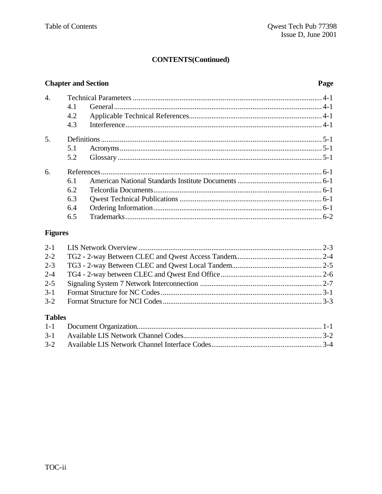# **CONTENTS(Continued)**

# **Chapter and Section**

# Page

| 4. |     |  |
|----|-----|--|
|    | 4.1 |  |
|    | 4.2 |  |
|    | 4.3 |  |
| 5. |     |  |
|    | 5.1 |  |
|    | 5.2 |  |
| 6. |     |  |
|    | 6.1 |  |
|    | 6.2 |  |
|    | 6.3 |  |
|    | 6.4 |  |
|    | 6.5 |  |

# **Figures**

| $2 - 2$ |  |
|---------|--|
| $2 - 3$ |  |
| $2 - 4$ |  |
| $2 - 5$ |  |
| $3 - 1$ |  |
|         |  |
| Tables  |  |

# Tables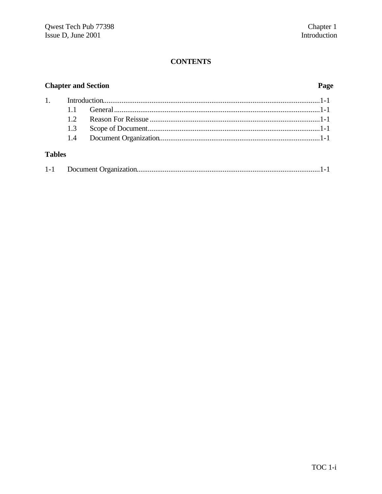# **Chapter and Section**

# Page

# **Tables**

|--|--|--|--|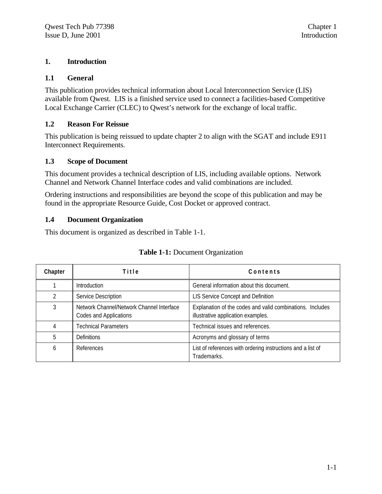# **1. Introduction**

# **1.1 General**

This publication provides technical information about Local Interconnection Service (LIS) available from Qwest. LIS is a finished service used to connect a facilities-based Competitive Local Exchange Carrier (CLEC) to Qwest's network for the exchange of local traffic.

# **1.2 Reason For Reissue**

This publication is being reissued to update chapter 2 to align with the SGAT and include E911 Interconnect Requirements.

# **1.3 Scope of Document**

This document provides a technical description of LIS, including available options. Network Channel and Network Channel Interface codes and valid combinations are included.

Ordering instructions and responsibilities are beyond the scope of this publication and may be found in the appropriate Resource Guide, Cost Docket or approved contract.

# **1.4 Document Organization**

This document is organized as described in Table 1-1.

| Chapter | Title                                                               | Contents                                                                                        |
|---------|---------------------------------------------------------------------|-------------------------------------------------------------------------------------------------|
|         | Introduction                                                        | General information about this document.                                                        |
| 2       | Service Description                                                 | LIS Service Concept and Definition                                                              |
| 3       | Network Channel/Network Channel Interface<br>Codes and Applications | Explanation of the codes and valid combinations. Includes<br>illustrative application examples. |
| 4       | <b>Technical Parameters</b>                                         | Technical issues and references.                                                                |
| 5       | <b>Definitions</b>                                                  | Acronyms and glossary of terms                                                                  |
| 6       | References                                                          | List of references with ordering instructions and a list of<br>Trademarks.                      |

#### **Table 1-1:** Document Organization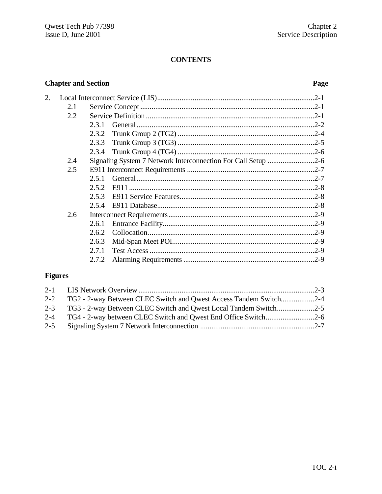# **Chapter and Section**

# Page

| 2. |     |                                                               |          |
|----|-----|---------------------------------------------------------------|----------|
|    | 2.1 |                                                               |          |
|    | 2.2 |                                                               |          |
|    |     | 2.3.1                                                         |          |
|    |     | 2.3.2                                                         |          |
|    |     | 2.3.3                                                         |          |
|    |     |                                                               |          |
|    | 2.4 | Signaling System 7 Network Interconnection For Call Setup 2-6 |          |
|    | 2.5 |                                                               |          |
|    |     | 2.5.1                                                         |          |
|    |     | 2.5.2                                                         |          |
|    |     | 2.5.3                                                         |          |
|    |     | 2.5.4                                                         |          |
|    | 2.6 |                                                               |          |
|    |     | 2.6.1                                                         |          |
|    |     | 2.6.2                                                         |          |
|    |     | 2.6.3                                                         |          |
|    |     | 2.7.1                                                         | $.2 - 9$ |
|    |     | 2.7.2                                                         |          |
|    |     |                                                               |          |

# **Figures**

|         | 2-2 TG2 - 2-way Between CLEC Switch and Qwest Access Tandem Switch2-4 |  |
|---------|-----------------------------------------------------------------------|--|
|         | 2-3 TG3 - 2-way Between CLEC Switch and Qwest Local Tandem Switch     |  |
|         |                                                                       |  |
| $2 - 5$ |                                                                       |  |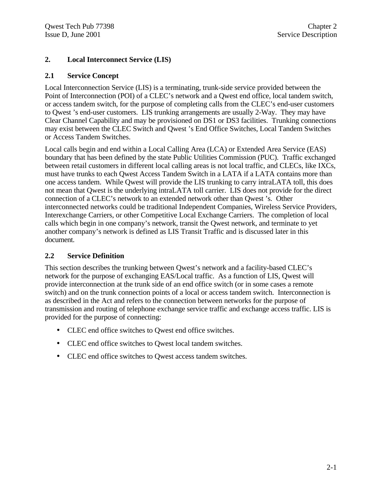# **2. Local Interconnect Service (LIS)**

# **2.1 Service Concept**

Local Interconnection Service (LIS) is a terminating, trunk-side service provided between the Point of Interconnection (POI) of a CLEC's network and a Qwest end office, local tandem switch, or access tandem switch, for the purpose of completing calls from the CLEC's end-user customers to Qwest 's end-user customers. LIS trunking arrangements are usually 2-Way. They may have Clear Channel Capability and may be provisioned on DS1 or DS3 facilities. Trunking connections may exist between the CLEC Switch and Qwest 's End Office Switches, Local Tandem Switches or Access Tandem Switches.

Local calls begin and end within a Local Calling Area (LCA) or Extended Area Service (EAS) boundary that has been defined by the state Public Utilities Commission (PUC). Traffic exchanged between retail customers in different local calling areas is not local traffic, and CLECs, like IXCs, must have trunks to each Qwest Access Tandem Switch in a LATA if a LATA contains more than one access tandem. While Qwest will provide the LIS trunking to carry intraLATA toll, this does not mean that Qwest is the underlying intraLATA toll carrier. LIS does not provide for the direct connection of a CLEC's network to an extended network other than Qwest 's. Other interconnected networks could be traditional Independent Companies, Wireless Service Providers, Interexchange Carriers, or other Competitive Local Exchange Carriers. The completion of local calls which begin in one company's network, transit the Qwest network, and terminate to yet another company's network is defined as LIS Transit Traffic and is discussed later in this document.

# **2.2 Service Definition**

This section describes the trunking between Qwest's network and a facility-based CLEC's network for the purpose of exchanging EAS/Local traffic. As a function of LIS, Qwest will provide interconnection at the trunk side of an end office switch (or in some cases a remote switch) and on the trunk connection points of a local or access tandem switch. Interconnection is as described in the Act and refers to the connection between networks for the purpose of transmission and routing of telephone exchange service traffic and exchange access traffic. LIS is provided for the purpose of connecting:

- CLEC end office switches to Qwest end office switches.
- CLEC end office switches to Qwest local tandem switches.
- CLEC end office switches to Qwest access tandem switches.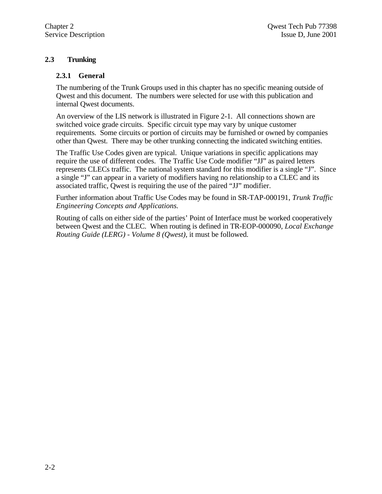# **2.3 Trunking**

# **2.3.1 General**

The numbering of the Trunk Groups used in this chapter has no specific meaning outside of Qwest and this document. The numbers were selected for use with this publication and internal Qwest documents.

An overview of the LIS network is illustrated in Figure 2-1. All connections shown are switched voice grade circuits. Specific circuit type may vary by unique customer requirements. Some circuits or portion of circuits may be furnished or owned by companies other than Qwest. There may be other trunking connecting the indicated switching entities.

The Traffic Use Codes given are typical. Unique variations in specific applications may require the use of different codes. The Traffic Use Code modifier "JJ" as paired letters represents CLECs traffic. The national system standard for this modifier is a single "J". Since a single "J" can appear in a variety of modifiers having no relationship to a CLEC and its associated traffic, Qwest is requiring the use of the paired "JJ" modifier.

Further information about Traffic Use Codes may be found in SR-TAP-000191, *Trunk Traffic Engineering Concepts and Applications.*

Routing of calls on either side of the parties' Point of Interface must be worked cooperatively between Qwest and the CLEC. When routing is defined in TR-EOP-000090, *Local Exchange Routing Guide (LERG) - Volume 8 (Qwest)*, it must be followed.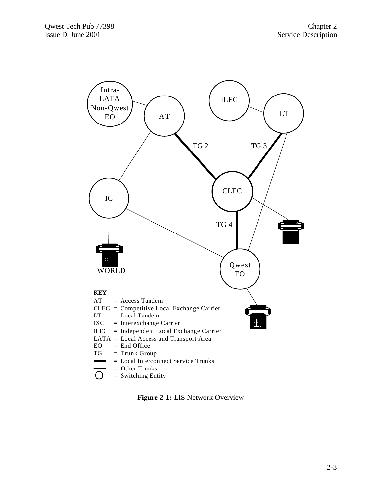

**Figure 2-1:** LIS Network Overview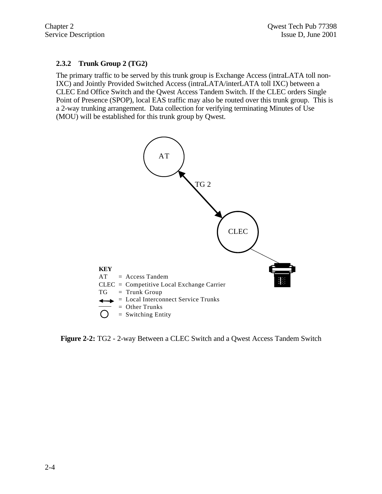# **2.3.2 Trunk Group 2 (TG2)**

The primary traffic to be served by this trunk group is Exchange Access (intraLATA toll non-IXC) and Jointly Provided Switched Access (intraLATA/interLATA toll IXC) between a CLEC End Office Switch and the Qwest Access Tandem Switch. If the CLEC orders Single Point of Presence (SPOP), local EAS traffic may also be routed over this trunk group. This is a 2-way trunking arrangement. Data collection for verifying terminating Minutes of Use (MOU) will be established for this trunk group by Qwest.



**Figure 2-2:** TG2 - 2-way Between a CLEC Switch and a Qwest Access Tandem Switch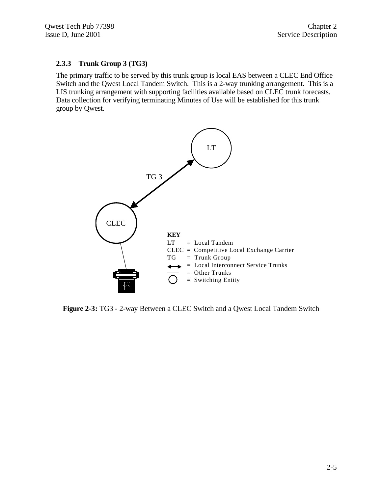# **2.3.3 Trunk Group 3 (TG3)**

The primary traffic to be served by this trunk group is local EAS between a CLEC End Office Switch and the Qwest Local Tandem Switch. This is a 2-way trunking arrangement. This is a LIS trunking arrangement with supporting facilities available based on CLEC trunk forecasts. Data collection for verifying terminating Minutes of Use will be established for this trunk group by Qwest.



**Figure 2-3:** TG3 - 2-way Between a CLEC Switch and a Qwest Local Tandem Switch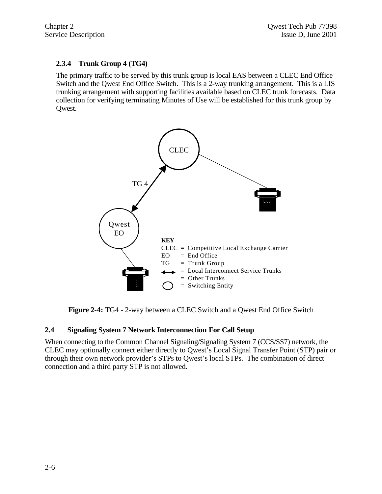# **2.3.4 Trunk Group 4 (TG4)**

The primary traffic to be served by this trunk group is local EAS between a CLEC End Office Switch and the Qwest End Office Switch. This is a 2-way trunking arrangement. This is a LIS trunking arrangement with supporting facilities available based on CLEC trunk forecasts. Data collection for verifying terminating Minutes of Use will be established for this trunk group by Qwest.



**Figure 2-4:** TG4 - 2-way between a CLEC Switch and a Qwest End Office Switch

# **2.4 Signaling System 7 Network Interconnection For Call Setup**

When connecting to the Common Channel Signaling/Signaling System 7 (CCS/SS7) network, the CLEC may optionally connect either directly to Qwest's Local Signal Transfer Point (STP) pair or through their own network provider's STPs to Qwest's local STPs. The combination of direct connection and a third party STP is not allowed.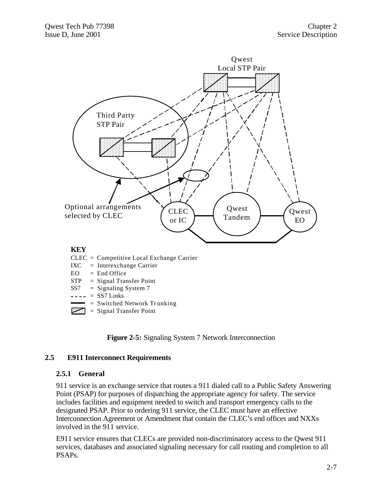

- $SS7 =$  Signaling System 7
- $--- =$  SS7 Links
- $=$  Switched Network Trunking
- $=$  Signal Transfer Point

**Figure 2-5:** Signaling System 7 Network Interconnection

#### **2.5 E911 Interconnect Requirements**

#### **2.5.1 General**

911 service is an exchange service that routes a 911 dialed call to a Public Safety Answering Point (PSAP) for purposes of dispatching the appropriate agency for safety. The service includes facilities and equipment needed to switch and transport emergency calls to the designated PSAP. Prior to ordering 911 service, the CLEC must have an effective Interconnection Agreement or Amendment that contain the CLEC's end offices and NXXs involved in the 911 service.

E911 service ensures that CLECs are provided non-discriminatory access to the Qwest 911 services, databases and associated signaling necessary for call routing and completion to all PSAPs.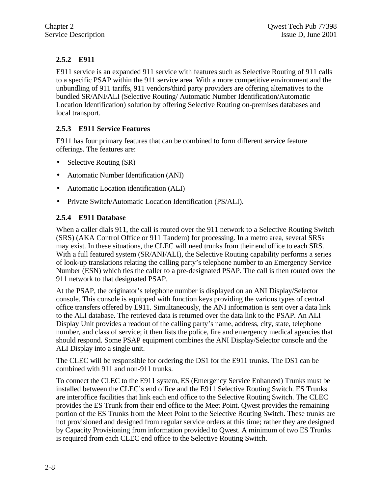# **2.5.2 E911**

E911 service is an expanded 911 service with features such as Selective Routing of 911 calls to a specific PSAP within the 911 service area. With a more competitive environment and the unbundling of 911 tariffs, 911 vendors/third party providers are offering alternatives to the bundled SR/ANI/ALI (Selective Routing/ Automatic Number Identification/Automatic Location Identification) solution by offering Selective Routing on-premises databases and local transport.

# **2.5.3 E911 Service Features**

E911 has four primary features that can be combined to form different service feature offerings. The features are:

- Selective Routing (SR)
- Automatic Number Identification (ANI)
- Automatic Location identification (ALI)
- Private Switch/Automatic Location Identification (PS/ALI).

# **2.5.4 E911 Database**

When a caller dials 911, the call is routed over the 911 network to a Selective Routing Switch (SRS) (AKA Control Office or 911 Tandem) for processing. In a metro area, several SRSs may exist. In these situations, the CLEC will need trunks from their end office to each SRS. With a full featured system (SR/ANI/ALI), the Selective Routing capability performs a series of look-up translations relating the calling party's telephone number to an Emergency Service Number (ESN) which ties the caller to a pre-designated PSAP. The call is then routed over the 911 network to that designated PSAP.

At the PSAP, the originator's telephone number is displayed on an ANI Display/Selector console. This console is equipped with function keys providing the various types of central office transfers offered by E911. Simultaneously, the ANI information is sent over a data link to the ALI database. The retrieved data is returned over the data link to the PSAP. An ALI Display Unit provides a readout of the calling party's name, address, city, state, telephone number, and class of service; it then lists the police, fire and emergency medical agencies that should respond. Some PSAP equipment combines the ANI Display/Selector console and the ALI Display into a single unit.

The CLEC will be responsible for ordering the DS1 for the E911 trunks. The DS1 can be combined with 911 and non-911 trunks.

To connect the CLEC to the E911 system, ES (Emergency Service Enhanced) Trunks must be installed between the CLEC's end office and the E911 Selective Routing Switch. ES Trunks are interoffice facilities that link each end office to the Selective Routing Switch. The CLEC provides the ES Trunk from their end office to the Meet Point. Qwest provides the remaining portion of the ES Trunks from the Meet Point to the Selective Routing Switch. These trunks are not provisioned and designed from regular service orders at this time; rather they are designed by Capacity Provisioning from information provided to Qwest. A minimum of two ES Trunks is required from each CLEC end office to the Selective Routing Switch.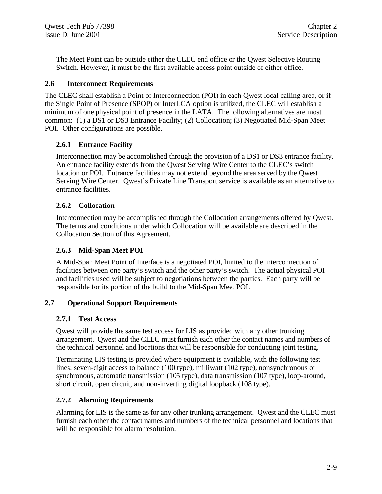The Meet Point can be outside either the CLEC end office or the Qwest Selective Routing Switch. However, it must be the first available access point outside of either office.

# **2.6 Interconnect Requirements**

The CLEC shall establish a Point of Interconnection (POI) in each Qwest local calling area, or if the Single Point of Presence (SPOP) or InterLCA option is utilized, the CLEC will establish a minimum of one physical point of presence in the LATA. The following alternatives are most common: (1) a DS1 or DS3 Entrance Facility; (2) Collocation; (3) Negotiated Mid-Span Meet POI. Other configurations are possible.

# **2.6.1 Entrance Facility**

Interconnection may be accomplished through the provision of a DS1 or DS3 entrance facility. An entrance facility extends from the Qwest Serving Wire Center to the CLEC's switch location or POI. Entrance facilities may not extend beyond the area served by the Qwest Serving Wire Center. Qwest's Private Line Transport service is available as an alternative to entrance facilities.

# **2.6.2 Collocation**

Interconnection may be accomplished through the Collocation arrangements offered by Qwest. The terms and conditions under which Collocation will be available are described in the Collocation Section of this Agreement.

# **2.6.3 Mid-Span Meet POI**

A Mid-Span Meet Point of Interface is a negotiated POI, limited to the interconnection of facilities between one party's switch and the other party's switch. The actual physical POI and facilities used will be subject to negotiations between the parties. Each party will be responsible for its portion of the build to the Mid-Span Meet POI.

# **2.7 Operational Support Requirements**

# **2.7.1 Test Access**

Qwest will provide the same test access for LIS as provided with any other trunking arrangement. Qwest and the CLEC must furnish each other the contact names and numbers of the technical personnel and locations that will be responsible for conducting joint testing.

Terminating LIS testing is provided where equipment is available, with the following test lines: seven-digit access to balance (100 type), milliwatt (102 type), nonsynchronous or synchronous, automatic transmission (105 type), data transmission (107 type), loop-around, short circuit, open circuit, and non-inverting digital loopback (108 type).

# **2.7.2 Alarming Requirements**

Alarming for LIS is the same as for any other trunking arrangement. Qwest and the CLEC must furnish each other the contact names and numbers of the technical personnel and locations that will be responsible for alarm resolution.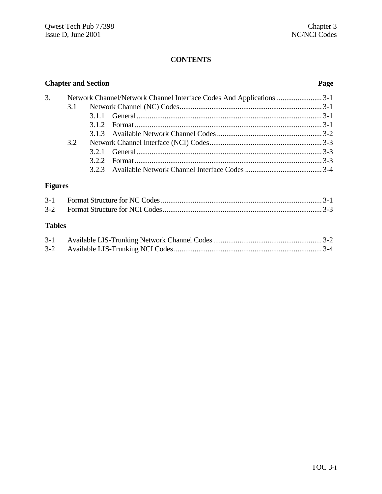| <b>Chapter and Section</b> |     |       | Page                                                                 |  |
|----------------------------|-----|-------|----------------------------------------------------------------------|--|
| 3.                         |     |       | Network Channel/Network Channel Interface Codes And Applications 3-1 |  |
|                            | 3.1 |       |                                                                      |  |
|                            |     | 3.1.1 |                                                                      |  |
|                            |     | 3.1.2 |                                                                      |  |
|                            |     | 3.1.3 |                                                                      |  |
|                            | 3.2 |       |                                                                      |  |
|                            |     | 3.2.1 |                                                                      |  |
|                            |     | 3.2.2 |                                                                      |  |
|                            |     |       |                                                                      |  |
| <b>Figures</b>             |     |       |                                                                      |  |
| $3-1$                      |     |       |                                                                      |  |
| $3-2$                      |     |       |                                                                      |  |
| <b>Tables</b>              |     |       |                                                                      |  |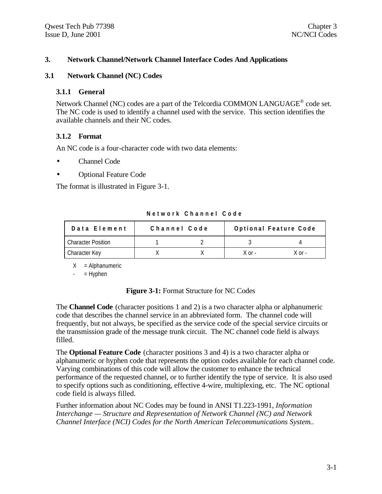# **3. Network Channel/Network Channel Interface Codes And Applications**

#### **3.1 Network Channel (NC) Codes**

#### **3.1.1 General**

Network Channel (NC) codes are a part of the Telcordia COMMON LANGUAGE<sup>®</sup> code set. The NC code is used to identify a channel used with the service. This section identifies the available channels and their NC codes.

#### **3.1.2 Format**

An NC code is a four-character code with two data elements:

- Channel Code
- Optional Feature Code

The format is illustrated in Figure 3-1.

| Data Element              | Channel Code |            | Optional Feature Code |
|---------------------------|--------------|------------|-----------------------|
| <b>Character Position</b> |              |            |                       |
| Character Key             |              | $X$ or $-$ | X nr -                |

**Network Channel Code**

 $X =$  Alphanumeric

 $=$  Hyphen

#### **Figure 3-1:** Format Structure for NC Codes

The **Channel Code** (character positions 1 and 2) is a two character alpha or alphanumeric code that describes the channel service in an abbreviated form. The channel code will frequently, but not always, be specified as the service code of the special service circuits or the transmission grade of the message trunk circuit. The NC channel code field is always filled.

The **Optional Feature Code** (character positions 3 and 4) is a two character alpha or alphanumeric or hyphen code that represents the option codes available for each channel code. Varying combinations of this code will allow the customer to enhance the technical performance of the requested channel, or to further identify the type of service. It is also used to specify options such as conditioning, effective 4-wire, multiplexing, etc. The NC optional code field is always filled.

Further information about NC Codes may be found in ANSI T1.223-1991, *Information Interchange — Structure and Representation of Network Channel (NC) and Network Channel Interface (NCI) Codes for the North American Telecommunications System.*.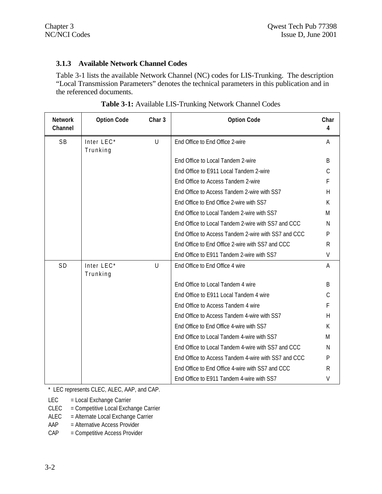# **3.1.3 Available Network Channel Codes**

Table 3-1 lists the available Network Channel (NC) codes for LIS-Trunking. The description "Local Transmission Parameters" denotes the technical parameters in this publication and in the referenced documents.

| <b>Network</b><br>Channel | <b>Option Code</b>     | Char <sub>3</sub> | <b>Option Code</b>                                  | Char<br>4      |
|---------------------------|------------------------|-------------------|-----------------------------------------------------|----------------|
| SB                        | Inter LEC*<br>Trunking | U                 | End Office to End Office 2-wire                     | Α              |
|                           |                        |                   | End Office to Local Tandem 2-wire                   | B              |
|                           |                        |                   | End Office to E911 Local Tandem 2-wire              | C              |
|                           |                        |                   | End Office to Access Tandem 2-wire                  | F              |
|                           |                        |                   | End Office to Access Tandem 2-wire with SS7         | $\overline{H}$ |
|                           |                        |                   | End Office to End Office 2-wire with SS7            | K              |
|                           |                        |                   | End Office to Local Tandem 2-wire with SS7          | M              |
|                           |                        |                   | End Office to Local Tandem 2-wire with SS7 and CCC  | N              |
|                           |                        |                   | End Office to Access Tandem 2-wire with SS7 and CCC | P              |
|                           |                        |                   | End Office to End Office 2-wire with SS7 and CCC    | R              |
|                           |                        |                   | End Office to E911 Tandem 2-wire with SS7           | $\vee$         |
| SD                        | Inter LEC*<br>Trunking | U                 | End Office to End Office 4 wire                     | A              |
|                           |                        |                   | End Office to Local Tandem 4 wire                   | B              |
|                           |                        |                   | End Office to E911 Local Tandem 4 wire              | C              |
|                           |                        |                   | End Office to Access Tandem 4 wire                  | F              |
|                           |                        |                   | End Office to Access Tandem 4-wire with SS7         | Н              |
|                           |                        |                   | End Office to End Office 4-wire with SS7            | К              |
|                           |                        |                   | End Office to Local Tandem 4-wire with SS7          | M              |
|                           |                        |                   | End Office to Local Tandem 4-wire with SS7 and CCC  | N              |
|                           |                        |                   | End Office to Access Tandem 4-wire with SS7 and CCC | P              |
|                           |                        |                   | End Office to End Office 4-wire with SS7 and CCC    | R              |
|                           |                        |                   | End Office to E911 Tandem 4-wire with SS7           | V              |

| Table 3-1: Available LIS-Trunking Network Channel Codes |  |
|---------------------------------------------------------|--|
|---------------------------------------------------------|--|

\* LEC represents CLEC, ALEC, AAP, and CAP.

LEC = Local Exchange Carrier

CLEC = Competitive Local Exchange Carrier

ALEC = Alternate Local Exchange Carrier

AAP = Alternative Access Provider

CAP = Competitive Access Provider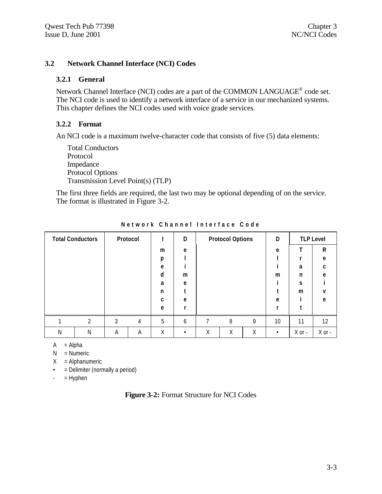# **3.2 Network Channel Interface (NCI) Codes**

#### **3.2.1 General**

Network Channel Interface (NCI) codes are a part of the COMMON LANGUAGE<sup>®</sup> code set. The NCI code is used to identify a network interface of a service in our mechanized systems. This chapter defines the NCI codes used with voice grade services.

# **3.2.2 Format**

An NCI code is a maximum twelve-character code that consists of five (5) data elements:

Total Conductors Protocol Impedance Protocol Options Transmission Level Point(s) (TLP)

The first three fields are required, the last two may be optional depending of on the service. The format is illustrated in Figure 3-2.

| <b>Total Conductors</b> |   |   | Protocol |    | D |   | <b>Protocol Options</b> |   | D         |            | <b>TLP Level</b> |
|-------------------------|---|---|----------|----|---|---|-------------------------|---|-----------|------------|------------------|
|                         |   |   |          | m  | e |   |                         |   | e         |            | R                |
|                         |   |   |          | p  |   |   |                         |   |           |            | e                |
|                         |   |   |          | e  |   |   |                         |   |           | a          | c                |
|                         |   |   |          | d  | m |   |                         |   | m         | n          | e                |
|                         |   |   |          | a  | e |   |                         |   |           | S          |                  |
|                         |   |   |          | n  |   |   |                         |   |           | m          | v                |
|                         |   |   |          | C. | e |   |                         |   | e         |            | e                |
|                         |   |   |          | e  |   |   |                         |   |           |            |                  |
|                         | ↑ | 3 | 4        | 5  | 6 |   | 8                       | 9 | 10        | 11         | 12               |
| Ν                       | N | Α | Α        | Χ  |   | Χ | Χ                       | Χ | $\bullet$ | $X$ or $-$ | $X$ or -         |

**Network Channel Interface Code**

 $A = Alpha$ 

 $N =$  Numeric

 $X = Alphantumeric$ 

• = Delimiter (normally a period)

 $-$  = Hyphen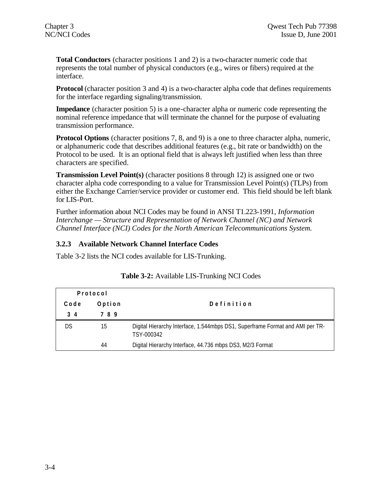**Total Conductors** (character positions 1 and 2) is a two-character numeric code that represents the total number of physical conductors (e.g., wires or fibers) required at the interface.

**Protocol** (character position 3 and 4) is a two-character alpha code that defines requirements for the interface regarding signaling/transmission.

**Impedance** (character position 5) is a one-character alpha or numeric code representing the nominal reference impedance that will terminate the channel for the purpose of evaluating transmission performance.

**Protocol Options** (character positions 7, 8, and 9) is a one to three character alpha, numeric, or alphanumeric code that describes additional features (e.g., bit rate or bandwidth) on the Protocol to be used. It is an optional field that is always left justified when less than three characters are specified.

**Transmission Level Point(s)** (character positions 8 through 12) is assigned one or two character alpha code corresponding to a value for Transmission Level Point(s) (TLPs) from either the Exchange Carrier/service provider or customer end. This field should be left blank for LIS-Port.

Further information about NCI Codes may be found in ANSI T1.223-1991, *Information Interchange — Structure and Representation of Network Channel (NC) and Network Channel Interface (NCI) Codes for the North American Telecommunications System.*

# **3.2.3 Available Network Channel Interface Codes**

Table 3-2 lists the NCI codes available for LIS-Trunking.

|      | Protocol |                                                                                             |
|------|----------|---------------------------------------------------------------------------------------------|
| Code | Option   | Definition                                                                                  |
| 34   | 789      |                                                                                             |
|      | 15       | Digital Hierarchy Interface, 1.544mbps DS1, Superframe Format and AMI per TR-<br>TSY-000342 |
|      | 44       | Digital Hierarchy Interface, 44.736 mbps DS3, M2/3 Format                                   |

# **Table 3-2:** Available LIS-Trunking NCI Codes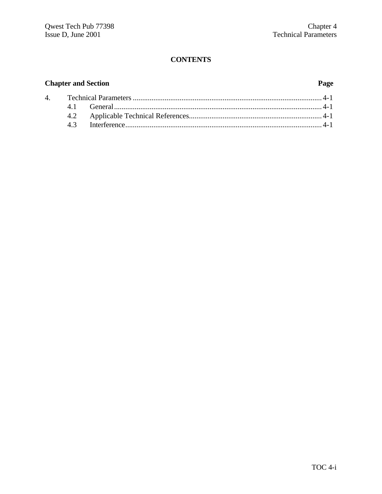# **Chapter and Section Page**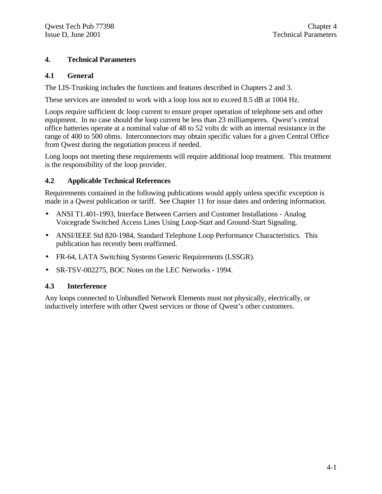# **4. Technical Parameters**

# **4.1 General**

The LIS-Trunking includes the functions and features described in Chapters 2 and 3.

These services are intended to work with a loop loss not to exceed 8.5 dB at 1004 Hz.

Loops require sufficient dc loop current to ensure proper operation of telephone sets and other equipment. In no case should the loop current be less than 23 milliamperes. Qwest's central office batteries operate at a nominal value of 48 to 52 volts dc with an internal resistance in the range of 400 to 500 ohms. Interconnectors may obtain specific values for a given Central Office from Qwest during the negotiation process if needed.

Long loops not meeting these requirements will require additional loop treatment. This treatment is the responsibility of the loop provider.

# **4.2 Applicable Technical References**

Requirements contained in the following publications would apply unless specific exception is made in a Qwest publication or tariff. See Chapter 11 for issue dates and ordering information.

- ANSI T1.401-1993, Interface Between Carriers and Customer Installations Analog Voicegrade Switched Access Lines Using Loop-Start and Ground-Start Signaling.
- ANSI/IEEE Std 820-1984, Standard Telephone Loop Performance Characteristics. This publication has recently been reaffirmed.
- FR-64, LATA Switching Systems Generic Requirements (LSSGR).
- SR-TSV-002275, BOC Notes on the LEC Networks 1994.

# **4.3 Interference**

Any loops connected to Unbundled Network Elements must not physically, electrically, or inductively interfere with other Qwest services or those of Qwest's other customers.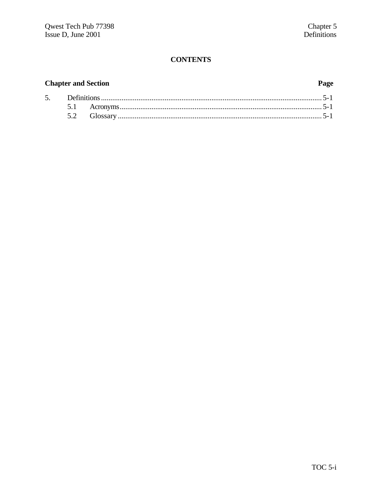# **Chapter and Section**

# Page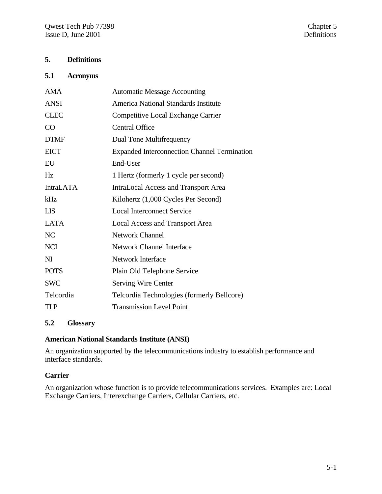# **5. Definitions**

#### **5.1 Acronyms**

| <b>AMA</b>       | <b>Automatic Message Accounting</b>                 |
|------------------|-----------------------------------------------------|
| <b>ANSI</b>      | America National Standards Institute                |
| <b>CLEC</b>      | Competitive Local Exchange Carrier                  |
| CO               | <b>Central Office</b>                               |
| <b>DTMF</b>      | Dual Tone Multifrequency                            |
| <b>EICT</b>      | <b>Expanded Interconnection Channel Termination</b> |
| EU               | End-User                                            |
| Hz               | 1 Hertz (formerly 1 cycle per second)               |
| <b>IntraLATA</b> | IntraLocal Access and Transport Area                |
| kHz              | Kilohertz (1,000 Cycles Per Second)                 |
| <b>LIS</b>       | <b>Local Interconnect Service</b>                   |
| <b>LATA</b>      | Local Access and Transport Area                     |
| NC               | <b>Network Channel</b>                              |
| <b>NCI</b>       | <b>Network Channel Interface</b>                    |
| N <sub>I</sub>   | <b>Network Interface</b>                            |
| <b>POTS</b>      | Plain Old Telephone Service                         |
| <b>SWC</b>       | Serving Wire Center                                 |
| Telcordia        | Telcordia Technologies (formerly Bellcore)          |
| <b>TLP</b>       | <b>Transmission Level Point</b>                     |

# **5.2 Glossary**

# **American National Standards Institute (ANSI)**

An organization supported by the telecommunications industry to establish performance and interface standards.

# **Carrier**

An organization whose function is to provide telecommunications services. Examples are: Local Exchange Carriers, Interexchange Carriers, Cellular Carriers, etc.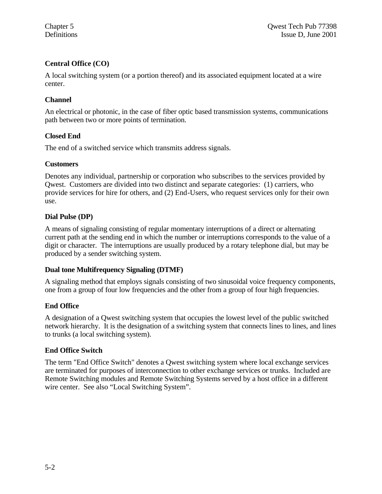# **Central Office (CO)**

A local switching system (or a portion thereof) and its associated equipment located at a wire center.

# **Channel**

An electrical or photonic, in the case of fiber optic based transmission systems, communications path between two or more points of termination.

# **Closed End**

The end of a switched service which transmits address signals.

# **Customers**

Denotes any individual, partnership or corporation who subscribes to the services provided by Qwest. Customers are divided into two distinct and separate categories: (1) carriers, who provide services for hire for others, and (2) End-Users, who request services only for their own use.

# **Dial Pulse (DP)**

A means of signaling consisting of regular momentary interruptions of a direct or alternating current path at the sending end in which the number or interruptions corresponds to the value of a digit or character. The interruptions are usually produced by a rotary telephone dial, but may be produced by a sender switching system.

#### **Dual tone Multifrequency Signaling (DTMF)**

A signaling method that employs signals consisting of two sinusoidal voice frequency components, one from a group of four low frequencies and the other from a group of four high frequencies.

# **End Office**

A designation of a Qwest switching system that occupies the lowest level of the public switched network hierarchy. It is the designation of a switching system that connects lines to lines, and lines to trunks (a local switching system).

# **End Office Switch**

The term "End Office Switch" denotes a Qwest switching system where local exchange services are terminated for purposes of interconnection to other exchange services or trunks. Included are Remote Switching modules and Remote Switching Systems served by a host office in a different wire center. See also "Local Switching System".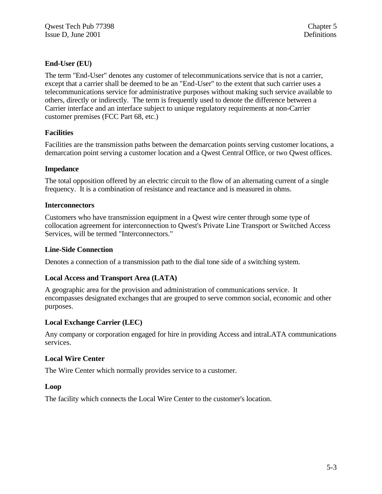# **End-User (EU)**

The term "End-User" denotes any customer of telecommunications service that is not a carrier, except that a carrier shall be deemed to be an "End-User" to the extent that such carrier uses a telecommunications service for administrative purposes without making such service available to others, directly or indirectly. The term is frequently used to denote the difference between a Carrier interface and an interface subject to unique regulatory requirements at non-Carrier customer premises (FCC Part 68, etc.)

# **Facilities**

Facilities are the transmission paths between the demarcation points serving customer locations, a demarcation point serving a customer location and a Qwest Central Office, or two Qwest offices.

# **Impedance**

The total opposition offered by an electric circuit to the flow of an alternating current of a single frequency. It is a combination of resistance and reactance and is measured in ohms.

# **Interconnectors**

Customers who have transmission equipment in a Qwest wire center through some type of collocation agreement for interconnection to Qwest's Private Line Transport or Switched Access Services, will be termed "Interconnectors."

# **Line-Side Connection**

Denotes a connection of a transmission path to the dial tone side of a switching system.

# **Local Access and Transport Area (LATA)**

A geographic area for the provision and administration of communications service. It encompasses designated exchanges that are grouped to serve common social, economic and other purposes.

# **Local Exchange Carrier (LEC)**

Any company or corporation engaged for hire in providing Access and intraLATA communications services.

# **Local Wire Center**

The Wire Center which normally provides service to a customer.

#### **Loop**

The facility which connects the Local Wire Center to the customer's location.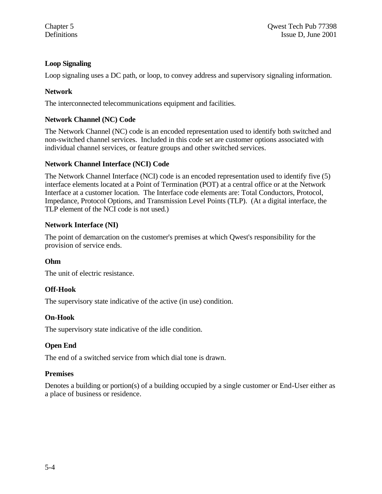# **Loop Signaling**

Loop signaling uses a DC path, or loop, to convey address and supervisory signaling information.

# **Network**

The interconnected telecommunications equipment and facilities.

# **Network Channel (NC) Code**

The Network Channel (NC) code is an encoded representation used to identify both switched and non-switched channel services. Included in this code set are customer options associated with individual channel services, or feature groups and other switched services.

# **Network Channel Interface (NCI) Code**

The Network Channel Interface (NCI) code is an encoded representation used to identify five (5) interface elements located at a Point of Termination (POT) at a central office or at the Network Interface at a customer location. The Interface code elements are: Total Conductors, Protocol, Impedance, Protocol Options, and Transmission Level Points (TLP). (At a digital interface, the TLP element of the NCI code is not used.)

# **Network Interface (NI)**

The point of demarcation on the customer's premises at which Qwest's responsibility for the provision of service ends.

# **Ohm**

The unit of electric resistance.

# **Off-Hook**

The supervisory state indicative of the active (in use) condition.

# **On-Hook**

The supervisory state indicative of the idle condition.

# **Open End**

The end of a switched service from which dial tone is drawn.

#### **Premises**

Denotes a building or portion(s) of a building occupied by a single customer or End-User either as a place of business or residence.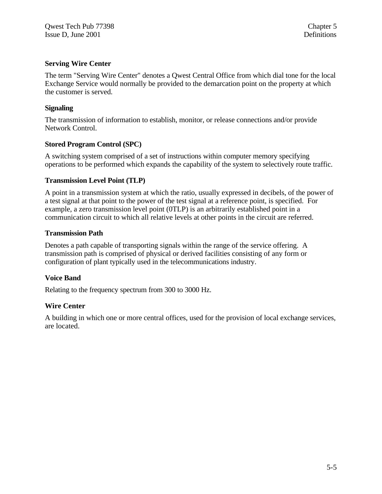# **Serving Wire Center**

The term "Serving Wire Center" denotes a Qwest Central Office from which dial tone for the local Exchange Service would normally be provided to the demarcation point on the property at which the customer is served.

# **Signaling**

The transmission of information to establish, monitor, or release connections and/or provide Network Control.

# **Stored Program Control (SPC)**

A switching system comprised of a set of instructions within computer memory specifying operations to be performed which expands the capability of the system to selectively route traffic.

#### **Transmission Level Point (TLP)**

A point in a transmission system at which the ratio, usually expressed in decibels, of the power of a test signal at that point to the power of the test signal at a reference point, is specified. For example, a zero transmission level point (0TLP) is an arbitrarily established point in a communication circuit to which all relative levels at other points in the circuit are referred.

#### **Transmission Path**

Denotes a path capable of transporting signals within the range of the service offering. A transmission path is comprised of physical or derived facilities consisting of any form or configuration of plant typically used in the telecommunications industry.

# **Voice Band**

Relating to the frequency spectrum from 300 to 3000 Hz.

#### **Wire Center**

A building in which one or more central offices, used for the provision of local exchange services, are located.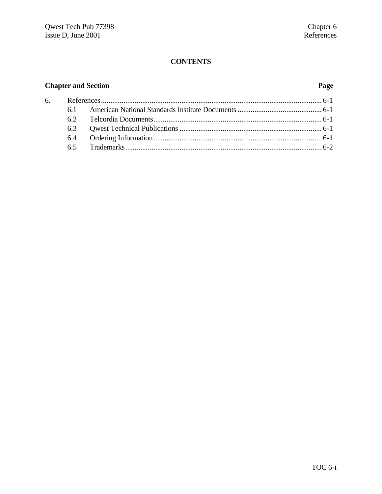# **Chapter and Section Page**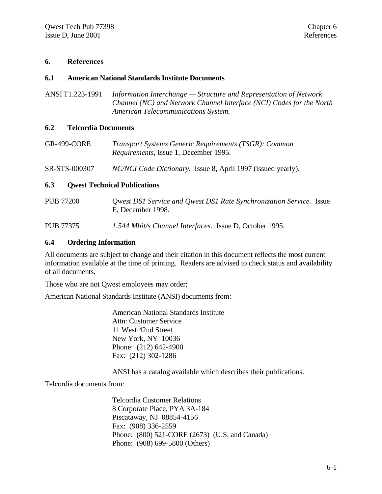#### **6. References**

#### **6.1 American National Standards Institute Documents**

ANSI T1.223-1991 *Information Interchange — Structure and Representation of Network Channel (NC) and Network Channel Interface (NCI) Codes for the North American Telecommunications System.*

#### **6.2 Telcordia Documents**

- GR-499-CORE *Transport Systems Generic Requirements (TSGR): Common Requirements*, Issue 1, December 1995.
- SR-STS-000307 *NC/NCI Code Dictionary.* Issue 8, April 1997 (issued yearly).

#### **6.3 Qwest Technical Publications**

PUB 77200 *Qwest DS1 Service and Qwest DS1 Rate Synchronization Service.* Issue E, December 1998.

PUB 77375 *1.544 Mbit/s Channel Interfaces.* Issue D, October 1995.

#### **6.4 Ordering Information**

All documents are subject to change and their citation in this document reflects the most current information available at the time of printing. Readers are advised to check status and availability of all documents.

Those who are not Qwest employees may order;

American National Standards Institute (ANSI) documents from:

American National Standards Institute Attn: Customer Service 11 West 42nd Street New York, NY 10036 Phone: (212) 642-4900 Fax: (212) 302-1286

ANSI has a catalog available which describes their publications.

Telcordia documents from:

Telcordia Customer Relations 8 Corporate Place, PYA 3A-184 Piscataway, NJ 08854-4156 Fax: (908) 336-2559 Phone: (800) 521-CORE (2673) (U.S. and Canada) Phone: (908) 699-5800 (Others)